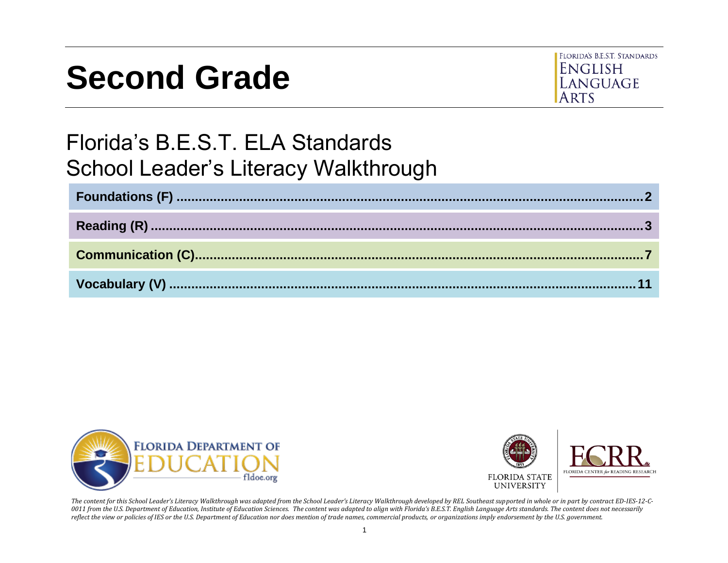# **Second Grade**



## Florida's B.E.S.T. ELA Standards School Leader's Literacy Walkthrough





*The content for this School Leader's Literacy Walkthrough was adapted from the School Leader's Literacy Walkthrough developed by REL Southeast supported in whole or in part by contract ED-IES-12-C-0011 from the U.S. Department of Education, Institute of Education Sciences. The content was adapted to align with Florida's B.E.S.T. English Language Arts standards. The content does not necessarily reflect the view or policies of IES or the U.S. Department of Education nor does mention of trade names, commercial products, or organizations imply endorsement by the U.S. government.*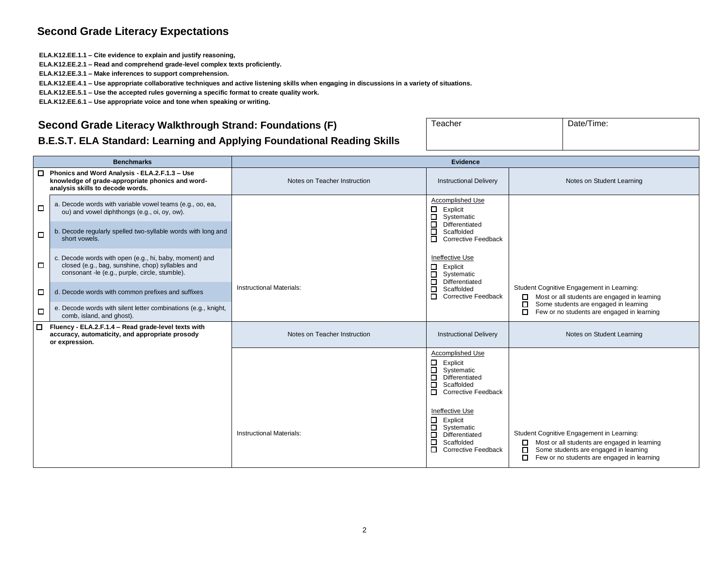#### **Second Grade Literacy Expectations**

**ELA.K12.EE.1.1 – Cite evidence to explain and justify reasoning,**

**ELA.K12.EE.2.1 – Read and comprehend grade-level complex texts proficiently.**

**ELA.K12.EE.3.1 – Make inferences to support comprehension.**

**ELA.K12.EE.4.1 – Use appropriate collaborative techniques and active listening skills when engaging in discussions in a variety of situations.**

**ELA.K12.EE.5.1 – Use the accepted rules governing a specific format to create quality work.**

**ELA.K12.EE.6.1 – Use appropriate voice and tone when speaking or writing.**

#### <span id="page-1-0"></span>**Second Grade Literacy Walkthrough Strand: Foundations (F)**

| B.E.S.T. ELA Standard: Learning and Applying Foundational Reading Skills |  |
|--------------------------------------------------------------------------|--|
|                                                                          |  |

|   | <b>Benchmarks</b>                                                                                                                                            | Evidence                        |                                                                                                                                                                                                                                                                                                          |                                                                                                                                                                                            |
|---|--------------------------------------------------------------------------------------------------------------------------------------------------------------|---------------------------------|----------------------------------------------------------------------------------------------------------------------------------------------------------------------------------------------------------------------------------------------------------------------------------------------------------|--------------------------------------------------------------------------------------------------------------------------------------------------------------------------------------------|
|   | $\Box$ Phonics and Word Analysis - ELA.2.F.1.3 - Use<br>knowledge of grade-appropriate phonics and word-<br>analysis skills to decode words.                 | Notes on Teacher Instruction    | <b>Instructional Delivery</b>                                                                                                                                                                                                                                                                            | Notes on Student Learning                                                                                                                                                                  |
| □ | a. Decode words with variable vowel teams (e.g., oo, ea,<br>ou) and vowel diphthongs (e.g., oi, oy, ow).                                                     |                                 | Accomplished Use<br>$\Box$<br>Explicit<br>$\Box$<br>Systematic                                                                                                                                                                                                                                           |                                                                                                                                                                                            |
| □ | b. Decode regularly spelled two-syllable words with long and<br>short vowels.                                                                                |                                 | $\Box$<br>Differentiated<br>Scaffolded<br>□<br>$\Box$<br><b>Corrective Feedback</b>                                                                                                                                                                                                                      |                                                                                                                                                                                            |
| □ | c. Decode words with open (e.g., hi, baby, moment) and<br>closed (e.g., bag, sunshine, chop) syllables and<br>consonant -le (e.g., purple, circle, stumble). |                                 | Ineffective Use<br>$\Box$<br>Explicit<br>$\Box$<br>Systematic<br>$\Box$<br>Differentiated                                                                                                                                                                                                                |                                                                                                                                                                                            |
| □ | d. Decode words with common prefixes and suffixes                                                                                                            | <b>Instructional Materials:</b> | □<br>Scaffolded<br>п<br><b>Corrective Feedback</b>                                                                                                                                                                                                                                                       | Student Cognitive Engagement in Learning:<br>Most or all students are engaged in learning<br>О.<br>$\Box$<br>Some students are engaged in learning                                         |
| □ | e. Decode words with silent letter combinations (e.g., knight,<br>comb, island, and ghost).                                                                  |                                 |                                                                                                                                                                                                                                                                                                          | П.<br>Few or no students are engaged in learning                                                                                                                                           |
| □ | Fluency - ELA.2.F.1.4 - Read grade-level texts with<br>accuracy, automaticity, and appropriate prosody<br>or expression.                                     | Notes on Teacher Instruction    | <b>Instructional Delivery</b>                                                                                                                                                                                                                                                                            | Notes on Student Learning                                                                                                                                                                  |
|   |                                                                                                                                                              | <b>Instructional Materials:</b> | Accomplished Use<br>$\Box$<br>Explicit<br>$\Box$<br>Systematic<br>$\Box$<br>Differentiated<br>□<br>Scaffolded<br><b>Corrective Feedback</b><br>$\Box$<br>Ineffective Use<br>$\Box$<br>Explicit<br>$\Box$<br>Systematic<br>□<br>Differentiated<br>□<br>Scaffolded<br>$\Box$<br><b>Corrective Feedback</b> | Student Cognitive Engagement in Learning:<br>Most or all students are engaged in learning<br>0<br>Some students are engaged in learning<br>□<br>Few or no students are engaged in learning |

Teacher Date/Time: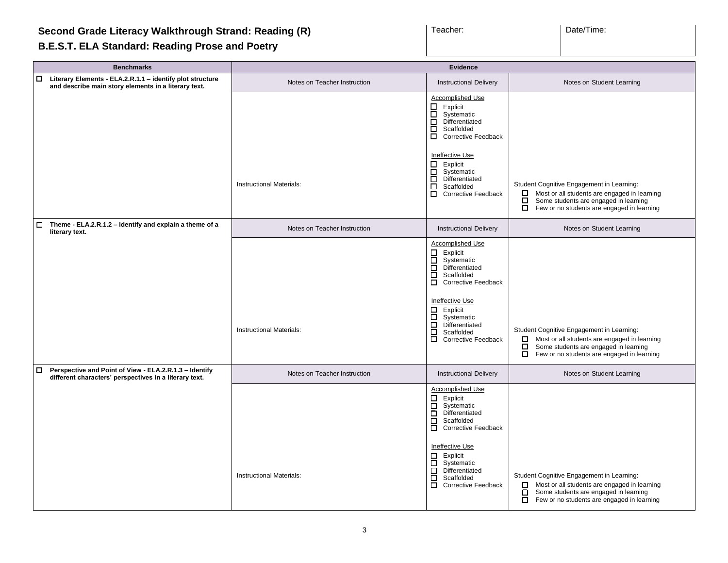#### <span id="page-2-0"></span>**B.E.S.T. ELA Standard: Reading Prose and Poetry**

| Teacher: | Date/Time: |
|----------|------------|
|          |            |

| <b>Evidence</b>                 |                                                                                                                                                                                                                                                                                             |                                                                                                                                                                                                           |
|---------------------------------|---------------------------------------------------------------------------------------------------------------------------------------------------------------------------------------------------------------------------------------------------------------------------------------------|-----------------------------------------------------------------------------------------------------------------------------------------------------------------------------------------------------------|
| Notes on Teacher Instruction    | <b>Instructional Delivery</b>                                                                                                                                                                                                                                                               | Notes on Student Learning                                                                                                                                                                                 |
|                                 | Accomplished Use<br>$\Box$ Explicit<br>$\Box$<br>Systematic<br>$\Box$<br>Differentiated<br>ō<br>Scaffolded<br>Corrective Feedback                                                                                                                                                           |                                                                                                                                                                                                           |
| <b>Instructional Materials:</b> | Ineffective Use<br>Explicit<br>$\Box$<br>$\Box$<br>Systematic<br>Differentiated<br>$\Box$<br>$\Box$<br>Scaffolded<br>0<br><b>Corrective Feedback</b>                                                                                                                                        | Student Cognitive Engagement in Learning:<br>Most or all students are engaged in learning<br>□<br>$\Box$<br>Some students are engaged in learning<br>$\Box$<br>Few or no students are engaged in learning |
| Notes on Teacher Instruction    | <b>Instructional Delivery</b>                                                                                                                                                                                                                                                               | Notes on Student Learning                                                                                                                                                                                 |
| Instructional Materials:        | Accomplished Use<br>$\Box$ Explicit<br>$\Box$<br>Systematic<br>$\Box$ Differentiated<br>Scaffolded<br>$\Box$<br>□ Corrective Feedback<br>Ineffective Use<br>$\Box$ Explicit<br>$\Box$<br>Systematic<br>ō<br>Differentiated<br>□<br>Scaffolded<br>$\overline{\Box}$ Corrective Feedback      | Student Cognitive Engagement in Learning:<br>Most or all students are engaged in learning<br>□<br>ō<br>Some students are engaged in learning<br>П<br>Few or no students are engaged in learning           |
| Notes on Teacher Instruction    | <b>Instructional Delivery</b>                                                                                                                                                                                                                                                               | Notes on Student Learning                                                                                                                                                                                 |
| Instructional Materials:        | <b>Accomplished Use</b><br>$\Box$ Explicit<br>$\Box$<br>Systematic<br>$\Box$<br>Differentiated<br>Scaffolded<br>$\Box$<br>□ Corrective Feedback<br>Ineffective Use<br>$\Box$ Explicit<br>0<br>Systematic<br>$\overline{\Box}$ Differentiated<br>Scaffolded<br>$\Box$<br>Corrective Feedback | Student Cognitive Engagement in Learning:<br>Most or all students are engaged in learning<br>0<br>Some students are engaged in learning<br>$\Box$<br>$\Box$<br>Few or no students are engaged in learning |
|                                 |                                                                                                                                                                                                                                                                                             |                                                                                                                                                                                                           |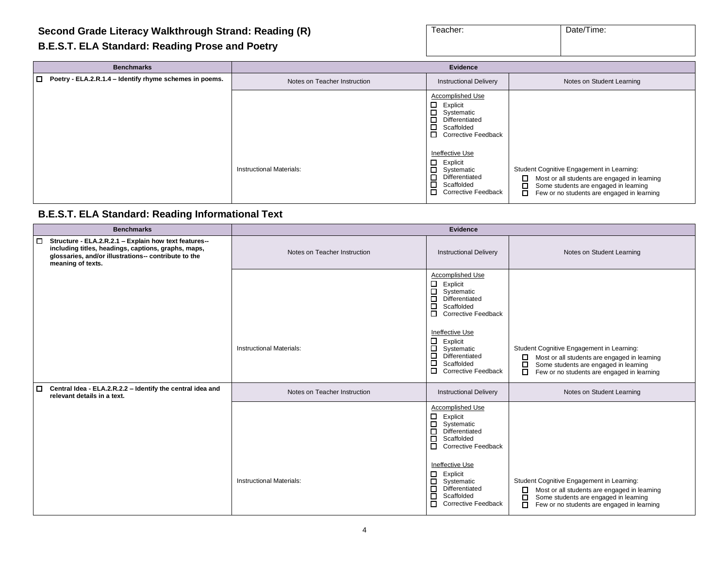| Teacher: | Date/Time: |  |  |
|----------|------------|--|--|
|          |            |  |  |

#### **B.E.S.T. ELA Standard: Reading Prose and Poetry**

| <b>Benchmarks</b>                                              | Evidence                        |                                                                                                                                                     |                                                                                                                                                                                             |
|----------------------------------------------------------------|---------------------------------|-----------------------------------------------------------------------------------------------------------------------------------------------------|---------------------------------------------------------------------------------------------------------------------------------------------------------------------------------------------|
| $\Box$ Poetry - ELA.2.R.1.4 – Identify rhyme schemes in poems. | Notes on Teacher Instruction    | <b>Instructional Delivery</b>                                                                                                                       | Notes on Student Learning                                                                                                                                                                   |
|                                                                |                                 | <b>Accomplished Use</b><br>$\Box$<br>Explicit<br>Systematic<br>$\Box$<br>Differentiated<br>$\Box$<br>Scaffolded<br>П.<br><b>Corrective Feedback</b> |                                                                                                                                                                                             |
|                                                                | <b>Instructional Materials:</b> | Ineffective Use<br>П.<br>Explicit<br>П.<br>Systematic<br>$\Box$<br>Differentiated<br>$\Box$<br>Scaffolded<br>О.<br>Corrective Feedback              | Student Cognitive Engagement in Learning:<br>0.<br>Most or all students are engaged in learning<br>Some students are engaged in learning<br>Few or no students are engaged in learning<br>□ |

#### **B.E.S.T. ELA Standard: Reading Informational Text**

| <b>Benchmarks</b>                                                                                                                                                                                   |                                 | <b>Evidence</b>                                                                                                                                                                                                                                                            |                                                                                                                                                                                                                |
|-----------------------------------------------------------------------------------------------------------------------------------------------------------------------------------------------------|---------------------------------|----------------------------------------------------------------------------------------------------------------------------------------------------------------------------------------------------------------------------------------------------------------------------|----------------------------------------------------------------------------------------------------------------------------------------------------------------------------------------------------------------|
| $\Box$<br>Structure - ELA.2.R.2.1 - Explain how text features--<br>including titles, headings, captions, graphs, maps,<br>glossaries, and/or illustrations-- contribute to the<br>meaning of texts. | Notes on Teacher Instruction    | <b>Instructional Delivery</b>                                                                                                                                                                                                                                              | Notes on Student Learning                                                                                                                                                                                      |
|                                                                                                                                                                                                     |                                 | Accomplished Use<br>$\Box$<br>Explicit<br>$\Box$<br>Systematic<br>$\Box$<br>Differentiated<br>$\Box$<br>Scaffolded<br>$\Box$<br><b>Corrective Feedback</b>                                                                                                                 |                                                                                                                                                                                                                |
|                                                                                                                                                                                                     | Instructional Materials:        | Ineffective Use<br>□<br>Explicit<br>□<br>Systematic<br>□<br>Differentiated<br>□<br>Scaffolded<br>$\Box$<br><b>Corrective Feedback</b>                                                                                                                                      | Student Cognitive Engagement in Learning:<br>Most or all students are engaged in learning<br>$\Box$<br>Some students are engaged in learning<br>0<br>П<br>Few or no students are engaged in learning           |
| Central Idea - ELA.2.R.2.2 - Identify the central idea and<br>□<br>relevant details in a text.                                                                                                      | Notes on Teacher Instruction    | <b>Instructional Delivery</b>                                                                                                                                                                                                                                              | Notes on Student Learning                                                                                                                                                                                      |
|                                                                                                                                                                                                     | <b>Instructional Materials:</b> | Accomplished Use<br>0<br>Explicit<br>$\Box$<br>Systematic<br>□<br>Differentiated<br>$\Box$<br>Scaffolded<br><b>Corrective Feedback</b><br>Ineffective Use<br>□<br>Explicit<br>Systematic<br>$\Box$<br>Differentiated<br>□<br>Scaffolded<br>◻<br><b>Corrective Feedback</b> | Student Cognitive Engagement in Learning:<br>Most or all students are engaged in learning<br>$\Box$<br>Some students are engaged in learning<br>$\Box$<br>Few or no students are engaged in learning<br>$\Box$ |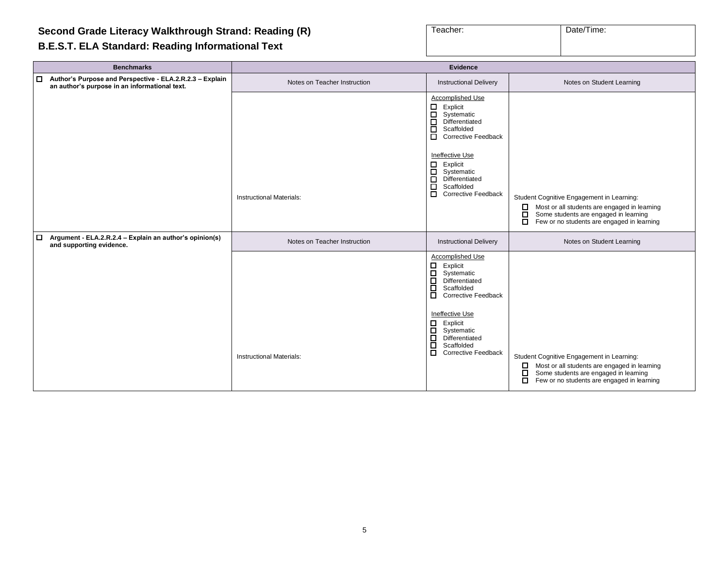#### **B.E.S.T. ELA Standard: Reading Informational Text**

| Teacher: | Date/Time: |
|----------|------------|
|          |            |

| <b>Benchmarks</b>                                                                                                   | <b>Evidence</b>                 |                                                                                                                                                                                                                                                                                                               |                                                                                                                                                                                                      |
|---------------------------------------------------------------------------------------------------------------------|---------------------------------|---------------------------------------------------------------------------------------------------------------------------------------------------------------------------------------------------------------------------------------------------------------------------------------------------------------|------------------------------------------------------------------------------------------------------------------------------------------------------------------------------------------------------|
| Author's Purpose and Perspective - ELA.2.R.2.3 - Explain<br>$\Box$<br>an author's purpose in an informational text. | Notes on Teacher Instruction    | <b>Instructional Delivery</b>                                                                                                                                                                                                                                                                                 | Notes on Student Learning                                                                                                                                                                            |
|                                                                                                                     |                                 | Accomplished Use<br>$\Box$ Explicit<br>$\Box$<br>Systematic<br>$\Box$ Differentiated<br>□<br>Scaffolded<br><b>Corrective Feedback</b><br>Ineffective Use                                                                                                                                                      |                                                                                                                                                                                                      |
|                                                                                                                     | <b>Instructional Materials:</b> | $\Box$ Explicit<br>$\Box$<br>Systematic<br>$\Box$ Differentiated<br>口<br>Scaffolded<br>□<br><b>Corrective Feedback</b>                                                                                                                                                                                        | Student Cognitive Engagement in Learning:<br>Most or all students are engaged in learning<br>$\Box$<br>Some students are engaged in learning<br>П<br>□<br>Few or no students are engaged in learning |
| $\Box$<br>Argument - ELA.2.R.2.4 - Explain an author's opinion(s)<br>and supporting evidence.                       | Notes on Teacher Instruction    | <b>Instructional Delivery</b>                                                                                                                                                                                                                                                                                 | Notes on Student Learning                                                                                                                                                                            |
|                                                                                                                     | <b>Instructional Materials:</b> | <b>Accomplished Use</b><br>Explicit<br>$\Box$<br>$\Box$<br>Systematic<br>$\Box$ Differentiated<br>$\Box$<br>Scaffolded<br><b>D</b> Corrective Feedback<br><b>Ineffective Use</b><br>$\Box$<br>Explicit<br>$\Box$<br>Systematic<br>$\Box$ Differentiated<br>□<br>Scaffolded<br>□<br><b>Corrective Feedback</b> | Student Cognitive Engagement in Learning:<br>Most or all students are engaged in learning<br>□<br>□<br>Some students are engaged in learning<br>о<br>Few or no students are engaged in learning      |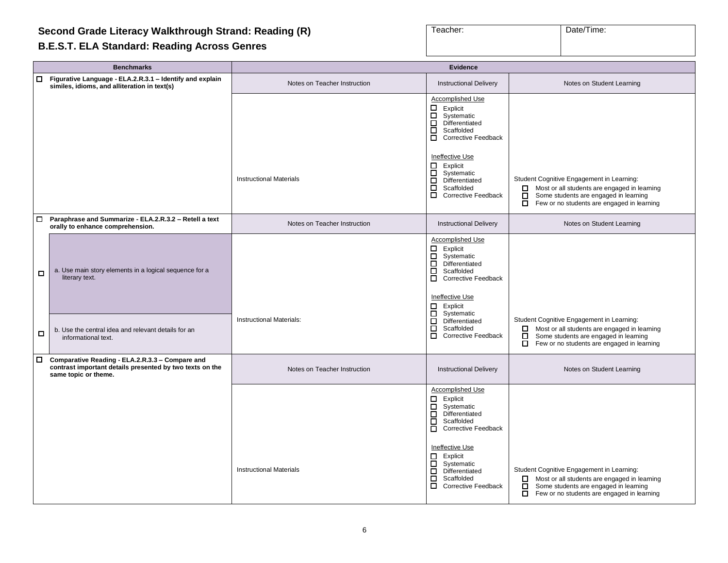#### **B.E.S.T. ELA Standard: Reading Across Genres**

| Teacher: | Date/Time: |
|----------|------------|
|          |            |

|        | <b>Benchmarks</b>                                                                                                                   | <b>Evidence</b>                 |                                                                                                                                                 |                                                                                                                                                                                                         |
|--------|-------------------------------------------------------------------------------------------------------------------------------------|---------------------------------|-------------------------------------------------------------------------------------------------------------------------------------------------|---------------------------------------------------------------------------------------------------------------------------------------------------------------------------------------------------------|
| О.     | Figurative Language - ELA.2.R.3.1 - Identify and explain<br>similes, idioms, and alliteration in text(s)                            | Notes on Teacher Instruction    | <b>Instructional Delivery</b>                                                                                                                   | Notes on Student Learning                                                                                                                                                                               |
|        |                                                                                                                                     |                                 | Accomplished Use<br>□<br>Explicit<br>口<br>Systematic<br>П<br>Differentiated<br>$\Box$<br>Scaffolded<br><b>Corrective Feedback</b>               |                                                                                                                                                                                                         |
|        |                                                                                                                                     | <b>Instructional Materials</b>  | Ineffective Use<br>Explicit<br>□<br>Systematic<br>$\Box$<br>Differentiated<br>о<br>Scaffolded<br>0<br><b>Corrective Feedback</b>                | Student Cognitive Engagement in Learning:<br>$\Box$ Most or all students are engaged in learning<br>П.<br>Some students are engaged in learning<br>Few or no students are engaged in learning<br>$\Box$ |
| $\Box$ | Paraphrase and Summarize - ELA.2.R.3.2 - Retell a text<br>orally to enhance comprehension.                                          | Notes on Teacher Instruction    | <b>Instructional Delivery</b>                                                                                                                   | Notes on Student Learning                                                                                                                                                                               |
| □      | a. Use main story elements in a logical sequence for a<br>literary text.                                                            |                                 | <b>Accomplished Use</b><br>Explicit<br>□<br>Systematic<br>$\Box$<br>Differentiated<br>П<br>Scaffolded<br>$\Box$ Corrective Feedback             |                                                                                                                                                                                                         |
| □      | b. Use the central idea and relevant details for an<br>informational text.                                                          | <b>Instructional Materials:</b> | Ineffective Use<br>Explicit<br>□<br>$\Box$<br>Systematic<br>□<br>Differentiated<br>□<br>Scaffolded<br>□<br><b>Corrective Feedback</b>           | Student Cognitive Engagement in Learning:<br>$\Box$ Most or all students are engaged in learning<br>□<br>Some students are engaged in learning<br>$\Box$ Few or no students are engaged in learning     |
| 0      | Comparative Reading - ELA.2.R.3.3 - Compare and<br>contrast important details presented by two texts on the<br>same topic or theme. | Notes on Teacher Instruction    | <b>Instructional Delivery</b>                                                                                                                   | Notes on Student Learning                                                                                                                                                                               |
|        |                                                                                                                                     |                                 | <b>Accomplished Use</b><br>Explicit<br>0<br>□<br>Systematic<br>ō<br>Differentiated<br>□<br>Scaffolded<br>$\Box$<br><b>Corrective Feedback</b>   |                                                                                                                                                                                                         |
|        |                                                                                                                                     | <b>Instructional Materials</b>  | Ineffective Use<br>□<br>Explicit<br>□<br>Systematic<br>$\Box$<br>Differentiated<br>$\Box$<br>Scaffolded<br>$\Box$<br><b>Corrective Feedback</b> | Student Cognitive Engagement in Learning:<br>Most or all students are engaged in learning<br>П.<br>Some students are engaged in learning<br>О.<br>$\Box$ Few or no students are engaged in learning     |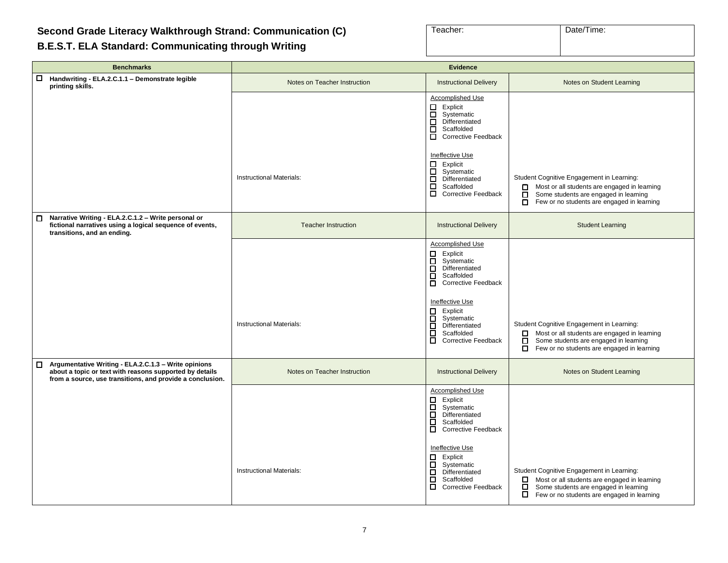#### <span id="page-6-0"></span>**Second Grade Literacy Walkthrough Strand: Communication (C)**

**B.E.S.T. ELA Standard: Communicating through Writing**

| Teacher: | Date/Time: |
|----------|------------|
|          |            |
|          |            |
|          |            |

| <b>Benchmarks</b>                                                                                                                                                                 | <b>Evidence</b>                 |                                                                                                                                                                                                                                                     |                                                                                                                                                                                                   |
|-----------------------------------------------------------------------------------------------------------------------------------------------------------------------------------|---------------------------------|-----------------------------------------------------------------------------------------------------------------------------------------------------------------------------------------------------------------------------------------------------|---------------------------------------------------------------------------------------------------------------------------------------------------------------------------------------------------|
| $\Box$<br>Handwriting - ELA.2.C.1.1 - Demonstrate legible<br>printing skills.                                                                                                     | Notes on Teacher Instruction    | <b>Instructional Delivery</b>                                                                                                                                                                                                                       | Notes on Student Learning                                                                                                                                                                         |
|                                                                                                                                                                                   |                                 | Accomplished Use<br>$\Box$ Explicit<br>□<br>Systematic<br>$\Box$<br>Differentiated<br>$\Box$<br>Scaffolded<br>$\Box$<br><b>Corrective Feedback</b>                                                                                                  |                                                                                                                                                                                                   |
|                                                                                                                                                                                   | Instructional Materials:        | Ineffective Use<br>$\Box$ Explicit<br>0<br>Systematic<br>□<br>Differentiated<br>□<br>Scaffolded<br>О.<br><b>Corrective Feedback</b>                                                                                                                 | Student Cognitive Engagement in Learning:<br>Most or all students are engaged in learning<br>П.<br>ō<br>Some students are engaged in learning<br>ō.<br>Few or no students are engaged in learning |
| Narrative Writing - ELA.2.C.1.2 - Write personal or<br>$\Box$<br>fictional narratives using a logical sequence of events,<br>transitions, and an ending.                          | <b>Teacher Instruction</b>      | <b>Instructional Delivery</b>                                                                                                                                                                                                                       | <b>Student Learning</b>                                                                                                                                                                           |
|                                                                                                                                                                                   | Instructional Materials:        | Accomplished Use<br>Explicit<br>Β<br>Systematic<br>$\Box$<br>Differentiated<br>ō<br>Scaffolded<br>õ<br><b>Corrective Feedback</b><br><b>Ineffective Use</b><br>Explicit<br>0<br>$\Box$<br>Systematic<br>ō<br>Differentiated<br>$\Box$<br>Scaffolded | Student Cognitive Engagement in Learning:<br>Most or all students are engaged in learning<br>□                                                                                                    |
|                                                                                                                                                                                   |                                 | ō<br><b>Corrective Feedback</b>                                                                                                                                                                                                                     | Β<br>Some students are engaged in learning<br>Few or no students are engaged in learning                                                                                                          |
| Argumentative Writing - ELA.2.C.1.3 - Write opinions<br>□<br>about a topic or text with reasons supported by details<br>from a source, use transitions, and provide a conclusion. | Notes on Teacher Instruction    | <b>Instructional Delivery</b>                                                                                                                                                                                                                       | Notes on Student Learning                                                                                                                                                                         |
|                                                                                                                                                                                   |                                 | <b>Accomplished Use</b><br>□<br>Explicit<br>ō<br>Systematic<br>$\Box$<br>Differentiated<br>$\Box$<br>Scaffolded<br>$\Box$<br><b>Corrective Feedback</b>                                                                                             |                                                                                                                                                                                                   |
|                                                                                                                                                                                   | <b>Instructional Materials:</b> | <b>Ineffective Use</b><br>□<br>Explicit<br>о<br>Systematic<br>$\Box$<br>Differentiated<br>$\Box$<br>Scaffolded<br>$\Box$<br><b>Corrective Feedback</b>                                                                                              | Student Cognitive Engagement in Learning:<br>Most or all students are engaged in learning<br>□<br>□<br>Some students are engaged in learning<br>П<br>Few or no students are engaged in learning   |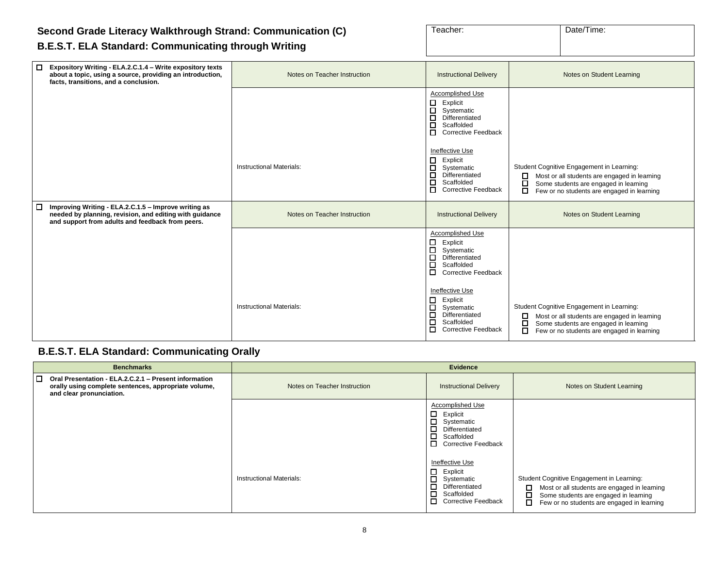#### **Second Grade Literacy Walkthrough Strand: Communication (C) B.E.S.T. ELA Standard: Communicating through Writing**

| Teacher: | Date/Time: |
|----------|------------|
|          |            |
|          |            |

#### ❑ **Expository Writing - ELA.2.C.1.4 – Write expository texts about a topic, using a source, providing an introduction, facts, transitions, and a conclusion.** Notes on Teacher Instruction **Instructional Delivery Notes on Student Learning** Notes on Student Learning Accomplished Use ❑ Explicit ❑ Systematic □ Differentiated ❑ Scaffolded □ Corrective Feedback Ineffective Use ❑ Explicit □ Systematic<br>□ Differentiate □ Differentiated<br>□ Scaffolded **Scaffolded** ❑ Corrective Feedback Instructional Materials:  $\overline{\Pi}$  Systematic Student Cognitive Engagement in Learning:  $\square$  Most or all students are engaged in learning  $\square$  Some students are engaged in learning Some students are engaged in learning ❑ Few or no students are engaged in learning ❑ **Improving Writing - ELA.2.C.1.5 – Improve writing as needed by planning, revision, and editing with guidance and support from adults and feedback from peers.** Notes on Teacher Instruction **Instructional Delivery Notes on Student Learning** Notes on Student Learning Accomplished Use ❑ Explicit □ Systematic<br>□ Differentiate □ Differentiated<br>□ Scaffolded ❑ Scaffolded ❑ Corrective Feedback Ineffective Use □ Explicit<br>□ Systema ❑ Systematic ❑ Differentiated ❑ Scaffolded ❑ Corrective Feedback Instructional Materials: The Student Cognitive Engagement in Learning: Number of Student Cognitive Engagement in Learning: □ Most or all students are engaged in learning<br>□ Some students are engaged in learning Some students are engaged in learning ❑ Few or no students are engaged in learning

#### **B.E.S.T. ELA Standard: Communicating Orally**

| <b>Benchmarks</b>                                                                                                                                   |                              | Evidence                                                                                                                                   |                                                                                                                                                                                            |
|-----------------------------------------------------------------------------------------------------------------------------------------------------|------------------------------|--------------------------------------------------------------------------------------------------------------------------------------------|--------------------------------------------------------------------------------------------------------------------------------------------------------------------------------------------|
| $\Box$<br>Oral Presentation - ELA.2.C.2.1 - Present information<br>orally using complete sentences, appropriate volume,<br>and clear pronunciation. | Notes on Teacher Instruction | <b>Instructional Delivery</b>                                                                                                              | Notes on Student Learning                                                                                                                                                                  |
|                                                                                                                                                     |                              | Accomplished Use<br>$\Box$ Explicit<br>$\Box$ Systematic<br>□<br>Differentiated<br>$\Box$<br>Scaffolded<br>о<br><b>Corrective Feedback</b> |                                                                                                                                                                                            |
|                                                                                                                                                     | Instructional Materials:     | Ineffective Use<br>0<br>Explicit<br>0<br>Systematic<br>□<br>Differentiated<br>□<br>Scaffolded<br>п<br><b>Corrective Feedback</b>           | Student Cognitive Engagement in Learning:<br>$\Box$<br>Most or all students are engaged in learning<br>Some students are engaged in learning<br>Few or no students are engaged in learning |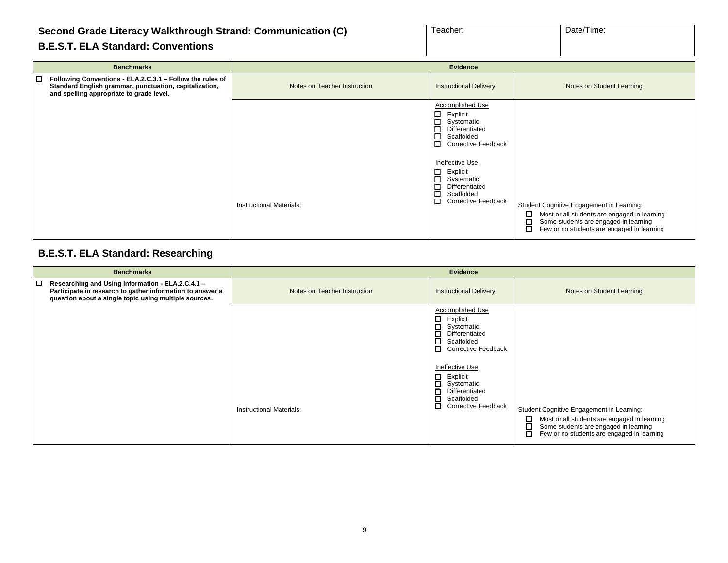#### **Second Grade Literacy Walkthrough Strand: Communication (C)**

|  |  | <b>B.E.S.T. ELA Standard: Conventions</b> |
|--|--|-------------------------------------------|
|--|--|-------------------------------------------|

| Teacher: | Date/Time: |
|----------|------------|
|          |            |

| <b>Benchmarks</b>                                                                                                                                                         |                                 | <b>Evidence</b>                                                                                                                                                                                                                                                                 |                                                                                                                                                                                            |
|---------------------------------------------------------------------------------------------------------------------------------------------------------------------------|---------------------------------|---------------------------------------------------------------------------------------------------------------------------------------------------------------------------------------------------------------------------------------------------------------------------------|--------------------------------------------------------------------------------------------------------------------------------------------------------------------------------------------|
| $\Box$<br>Following Conventions - ELA.2.C.3.1 - Follow the rules of<br>Standard English grammar, punctuation, capitalization,<br>and spelling appropriate to grade level. | Notes on Teacher Instruction    | <b>Instructional Delivery</b>                                                                                                                                                                                                                                                   | Notes on Student Learning                                                                                                                                                                  |
|                                                                                                                                                                           | <b>Instructional Materials:</b> | Accomplished Use<br>□<br>Explicit<br>$\Box$<br>Systematic<br>□<br>Differentiated<br>П<br>Scaffolded<br>□<br><b>Corrective Feedback</b><br>Ineffective Use<br>□<br>Explicit<br>$\Box$<br>Systematic<br>□<br>Differentiated<br>□<br>Scaffolded<br>□<br><b>Corrective Feedback</b> | Student Cognitive Engagement in Learning:<br>Most or all students are engaged in learning<br>Some students are engaged in learning<br>$\Box$<br>Few or no students are engaged in learning |

#### **B.E.S.T. ELA Standard: Researching**

| <b>Benchmarks</b>                                                                                                                                                             |                                 | <b>Evidence</b>                                                                                                                                         |                                                                                                                                                                                                  |
|-------------------------------------------------------------------------------------------------------------------------------------------------------------------------------|---------------------------------|---------------------------------------------------------------------------------------------------------------------------------------------------------|--------------------------------------------------------------------------------------------------------------------------------------------------------------------------------------------------|
| □□<br>Researching and Using Information - ELA.2.C.4.1 -<br>Participate in research to gather information to answer a<br>question about a single topic using multiple sources. | Notes on Teacher Instruction    | <b>Instructional Delivery</b>                                                                                                                           | Notes on Student Learning                                                                                                                                                                        |
|                                                                                                                                                                               |                                 | <b>Accomplished Use</b><br>□<br>Explicit<br>$\Box$<br>Systematic<br>$\Box$<br>Differentiated<br>$\Box$<br>Scaffolded<br>□<br><b>Corrective Feedback</b> |                                                                                                                                                                                                  |
|                                                                                                                                                                               | <b>Instructional Materials:</b> | Ineffective Use<br>□<br>Explicit<br>П<br>Systematic<br>□<br>Differentiated<br>口<br>Scaffolded<br>$\Box$<br><b>Corrective Feedback</b>                   | Student Cognitive Engagement in Learning:<br>Most or all students are engaged in learning<br>◻<br>□<br>Some students are engaged in learning<br>П.<br>Few or no students are engaged in learning |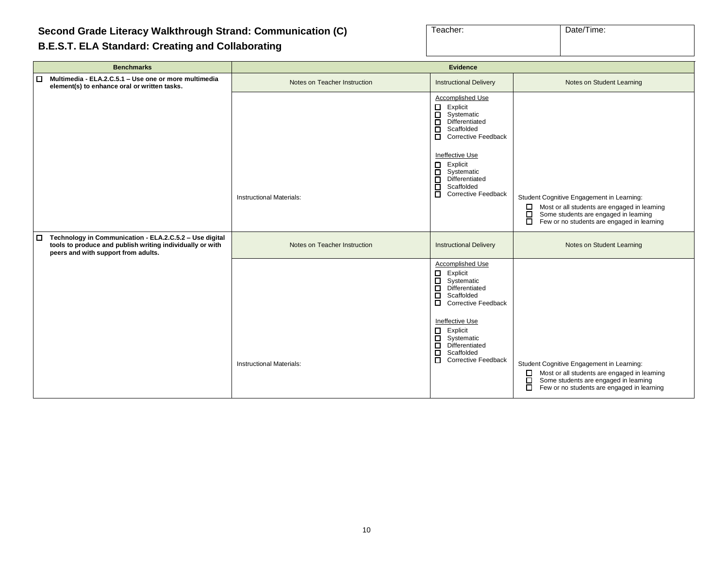#### **Second Grade Literacy Walkthrough Strand: Communication (C)**

#### **B.E.S.T. ELA Standard: Creating and Collaborating**

| Teacher: | Date/Time: |
|----------|------------|
|          |            |

| <b>Benchmarks</b>                                                                                                                                                     | <b>Evidence</b>                 |                                                                                                                                                                                                                                                                                                             |                                                                                                                                                                                                           |
|-----------------------------------------------------------------------------------------------------------------------------------------------------------------------|---------------------------------|-------------------------------------------------------------------------------------------------------------------------------------------------------------------------------------------------------------------------------------------------------------------------------------------------------------|-----------------------------------------------------------------------------------------------------------------------------------------------------------------------------------------------------------|
| Multimedia - ELA.2.C.5.1 - Use one or more multimedia<br>□<br>element(s) to enhance oral or written tasks.                                                            | Notes on Teacher Instruction    | <b>Instructional Delivery</b>                                                                                                                                                                                                                                                                               | Notes on Student Learning                                                                                                                                                                                 |
|                                                                                                                                                                       | <b>Instructional Materials:</b> | Accomplished Use<br>$\Box$<br>Explicit<br>$\Box$<br>Systematic<br>Ē<br>Differentiated<br>Scaffolded<br>ō<br><b>Corrective Feedback</b><br>Ineffective Use<br>$\Box$<br>Explicit<br>$\Box$<br>Systematic<br>Ē<br>Differentiated<br>Scaffolded<br>$\Box$<br><b>Corrective Feedback</b>                        | Student Cognitive Engagement in Learning:<br>$\Box$<br>Most or all students are engaged in learning<br>Some students are engaged in learning<br>$\Box$<br>□<br>Few or no students are engaged in learning |
| Technology in Communication - ELA.2.C.5.2 - Use digital<br>$\Box$<br>tools to produce and publish writing individually or with<br>peers and with support from adults. | Notes on Teacher Instruction    | <b>Instructional Delivery</b>                                                                                                                                                                                                                                                                               | Notes on Student Learning                                                                                                                                                                                 |
|                                                                                                                                                                       | <b>Instructional Materials:</b> | Accomplished Use<br>$\Box$<br>Explicit<br>ō<br>Systematic<br>$\overline{\phantom{a}}$<br>Differentiated<br>Scaffolded<br>$\Box$<br><b>Corrective Feedback</b><br>Ineffective Use<br>$\Box$<br>Explicit<br>$\Box$<br>Systematic<br>Ē<br>Differentiated<br>Scaffolded<br>$\Box$<br><b>Corrective Feedback</b> | Student Cognitive Engagement in Learning:<br>Most or all students are engaged in learning<br>$\Box$<br>Some students are engaged in learning<br>$\Box$<br>Few or no students are engaged in learning      |